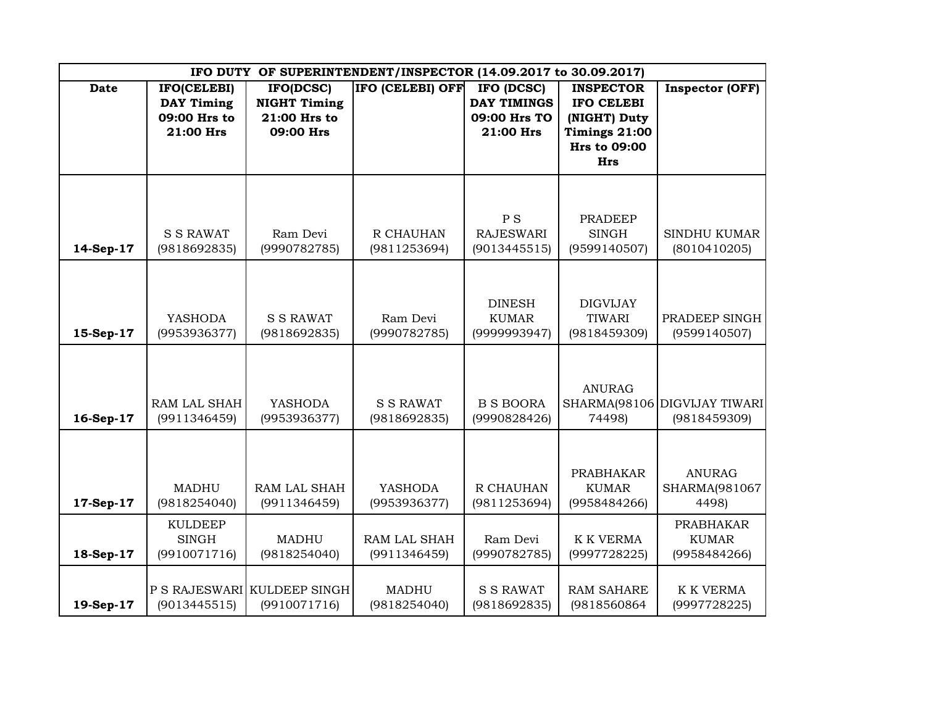| IFO DUTY OF SUPERINTENDENT/INSPECTOR (14.09.2017 to 30.09.2017) |                                                               |                                                               |                                  |                                                               |                                                                                                             |                                                  |  |  |  |
|-----------------------------------------------------------------|---------------------------------------------------------------|---------------------------------------------------------------|----------------------------------|---------------------------------------------------------------|-------------------------------------------------------------------------------------------------------------|--------------------------------------------------|--|--|--|
| <b>Date</b>                                                     | IFO(CELEBI)<br><b>DAY Timing</b><br>09:00 Hrs to<br>21:00 Hrs | IFO(DCSC)<br><b>NIGHT Timing</b><br>21:00 Hrs to<br>09:00 Hrs | IFO (CELEBI) OFF                 | IFO (DCSC)<br><b>DAY TIMINGS</b><br>09:00 Hrs TO<br>21:00 Hrs | <b>INSPECTOR</b><br><b>IFO CELEBI</b><br>(NIGHT) Duty<br>Timings 21:00<br><b>Hrs to 09:00</b><br><b>Hrs</b> | Inspector (OFF)                                  |  |  |  |
| 14-Sep-17                                                       | <b>S S RAWAT</b><br>(9818692835)                              | Ram Devi<br>(9990782785)                                      | R CHAUHAN<br>(9811253694)        | P <sub>S</sub><br><b>RAJESWARI</b><br>(9013445515)            | <b>PRADEEP</b><br><b>SINGH</b><br>(9599140507)                                                              | <b>SINDHU KUMAR</b><br>(8010410205)              |  |  |  |
| 15-Sep-17                                                       | <b>YASHODA</b><br>(9953936377)                                | <b>S S RAWAT</b><br>(9818692835)                              | Ram Devi<br>(9990782785)         | <b>DINESH</b><br><b>KUMAR</b><br>(9999993947)                 | <b>DIGVIJAY</b><br><b>TIWARI</b><br>(9818459309)                                                            | PRADEEP SINGH<br>(9599140507)                    |  |  |  |
| 16-Sep-17                                                       | RAM LAL SHAH<br>(9911346459)                                  | <b>YASHODA</b><br>(9953936377)                                | <b>S S RAWAT</b><br>(9818692835) | <b>B S BOORA</b><br>(9990828426)                              | <b>ANURAG</b><br>74498)                                                                                     | SHARMA(98106 DIGVIJAY TIWARI<br>(9818459309)     |  |  |  |
| 17-Sep-17                                                       | <b>MADHU</b><br>(9818254040)                                  | RAM LAL SHAH<br>(9911346459)                                  | <b>YASHODA</b><br>(9953936377)   | R CHAUHAN<br>(9811253694)                                     | <b>PRABHAKAR</b><br><b>KUMAR</b><br>(9958484266)                                                            | <b>ANURAG</b><br>SHARMA(981067<br>4498)          |  |  |  |
| 18-Sep-17                                                       | <b>KULDEEP</b><br><b>SINGH</b><br>(9910071716)                | <b>MADHU</b><br>(9818254040)                                  | RAM LAL SHAH<br>(9911346459)     | Ram Devi<br>(9990782785)                                      | <b>K K VERMA</b><br>(9997728225)                                                                            | <b>PRABHAKAR</b><br><b>KUMAR</b><br>(9958484266) |  |  |  |
| 19-Sep-17                                                       | (9013445515)                                                  | P S RAJESWARI KULDEEP SINGH<br>(9910071716)                   | <b>MADHU</b><br>(9818254040)     | <b>S S RAWAT</b><br>(9818692835)                              | <b>RAM SAHARE</b><br>(9818560864                                                                            | <b>K K VERMA</b><br>(9997728225)                 |  |  |  |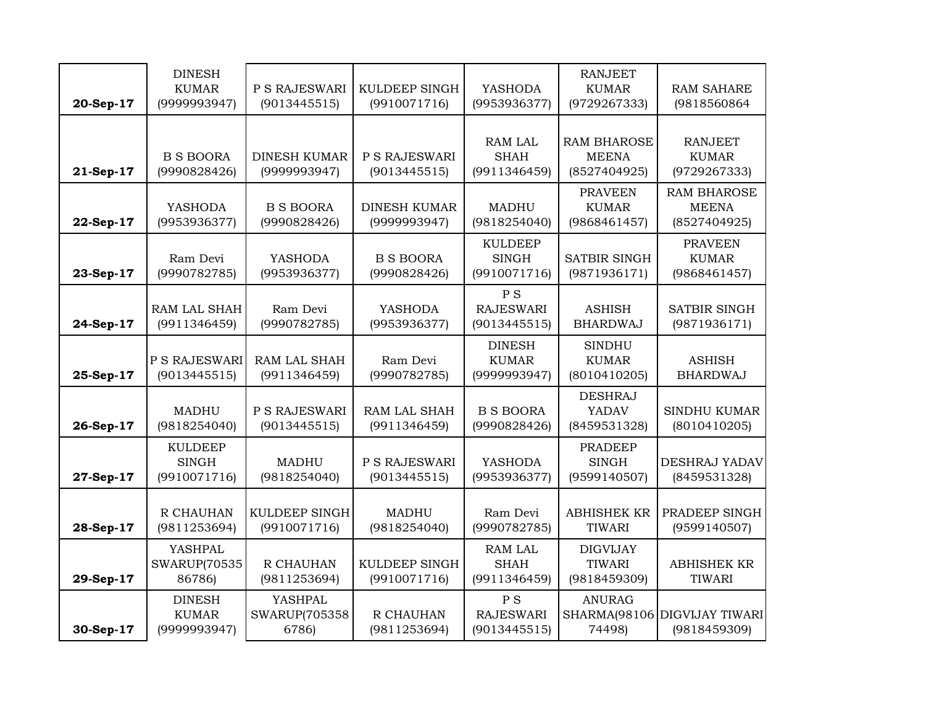| 20-Sep-17 | <b>DINESH</b><br><b>KUMAR</b><br>(9999993947)  | P S RAJESWARI<br>(9013445515)            | <b>KULDEEP SINGH</b><br>(9910071716) | <b>YASHODA</b><br>(9953936377)                     | <b>RANJEET</b><br><b>KUMAR</b><br>(9729267333)     | <b>RAM SAHARE</b><br>(9818560864                   |
|-----------|------------------------------------------------|------------------------------------------|--------------------------------------|----------------------------------------------------|----------------------------------------------------|----------------------------------------------------|
| 21-Sep-17 | <b>B S BOORA</b><br>(9990828426)               | <b>DINESH KUMAR</b><br>(9999993947)      | P S RAJESWARI<br>(9013445515)        | <b>RAM LAL</b><br><b>SHAH</b><br>(9911346459)      | <b>RAM BHAROSE</b><br><b>MEENA</b><br>(8527404925) | RANJEET<br><b>KUMAR</b><br>(9729267333)            |
| 22-Sep-17 | <b>YASHODA</b><br>(9953936377)                 | <b>B S BOORA</b><br>(9990828426)         | <b>DINESH KUMAR</b><br>(9999993947)  | <b>MADHU</b><br>(9818254040)                       | <b>PRAVEEN</b><br><b>KUMAR</b><br>(9868461457)     | <b>RAM BHAROSE</b><br><b>MEENA</b><br>(8527404925) |
| 23-Sep-17 | Ram Devi<br>(9990782785)                       | <b>YASHODA</b><br>(9953936377)           | <b>B S BOORA</b><br>(9990828426)     | <b>KULDEEP</b><br><b>SINGH</b><br>(9910071716)     | <b>SATBIR SINGH</b><br>(9871936171)                | <b>PRAVEEN</b><br><b>KUMAR</b><br>(9868461457)     |
| 24-Sep-17 | RAM LAL SHAH<br>(9911346459)                   | Ram Devi<br>(9990782785)                 | <b>YASHODA</b><br>(9953936377)       | P S<br><b>RAJESWARI</b><br>(9013445515)            | <b>ASHISH</b><br><b>BHARDWAJ</b>                   | <b>SATBIR SINGH</b><br>(9871936171)                |
| 25-Sep-17 | P S RAJESWARI<br>(9013445515)                  | RAM LAL SHAH<br>(9911346459)             | Ram Devi<br>(9990782785)             | <b>DINESH</b><br><b>KUMAR</b><br>(9999993947)      | <b>SINDHU</b><br><b>KUMAR</b><br>(8010410205)      | <b>ASHISH</b><br><b>BHARDWAJ</b>                   |
| 26-Sep-17 | MADHU<br>(9818254040)                          | P S RAJESWARI<br>(9013445515)            | <b>RAM LAL SHAH</b><br>(9911346459)  | <b>B S BOORA</b><br>(9990828426)                   | <b>DESHRAJ</b><br>YADAV<br>(8459531328)            | <b>SINDHU KUMAR</b><br>(8010410205)                |
| 27-Sep-17 | <b>KULDEEP</b><br><b>SINGH</b><br>(9910071716) | <b>MADHU</b><br>(9818254040)             | P S RAJESWARI<br>(9013445515)        | <b>YASHODA</b><br>(9953936377)                     | <b>PRADEEP</b><br><b>SINGH</b><br>(9599140507)     | DESHRAJ YADAV<br>(8459531328)                      |
| 28-Sep-17 | R CHAUHAN<br>(9811253694)                      | KULDEEP SINGH<br>(9910071716)            | <b>MADHU</b><br>(9818254040)         | Ram Devi<br>(9990782785)                           | <b>ABHISHEK KR</b><br>TIWARI                       | PRADEEP SINGH<br>(9599140507)                      |
| 29-Sep-17 | YASHPAL<br><b>SWARUP(70535</b><br>86786)       | R CHAUHAN<br>(9811253694)                | <b>KULDEEP SINGH</b><br>(9910071716) | <b>RAM LAL</b><br><b>SHAH</b><br>(9911346459)      | <b>DIGVIJAY</b><br>TIWARI<br>(9818459309)          | <b>ABHISHEK KR</b><br><b>TIWARI</b>                |
| 30-Sep-17 | <b>DINESH</b><br><b>KUMAR</b><br>(9999993947)  | <b>YASHPAL</b><br>SWARUP(705358<br>6786) | R CHAUHAN<br>(9811253694)            | P <sub>S</sub><br><b>RAJESWARI</b><br>(9013445515) | <b>ANURAG</b><br>74498)                            | SHARMA(98106 DIGVIJAY TIWARI<br>(9818459309)       |